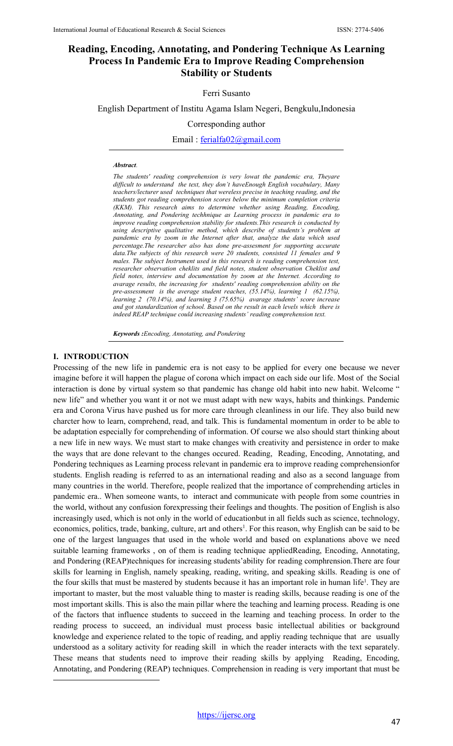# **Reading, Encoding, Annotating, and Pondering Technique As Learning Process In Pandemic Era to Improve Reading Comprehension Stability or Students**

### Ferri Susanto

English Department of Institu Agama Islam Negeri, Bengkulu,Indonesia

Corresponding author

Email : [ferialfa02@gmail.com](mailto:ferialfa02@gmail.com)

#### *Abstract.*

*The students' reading comprehension is very lowat the pandemic era, Theyare difficult to understand the text, they don't haveEnough English vocabulary, Many teachers/lecturer used techniques that wereless precise in teaching reading, and the students got reading comprehension scores below the minimum completion criteria (KKM). This research aims to determine whether using Reading, Encoding, Annotating, and Pondering techhnique as Learning process in pandemic era to improve reading comprehension stability for students.This research is conducted by using descriptive qualitative method, which describe of students's problem at pandemic era by zoom in the Internet after that, analyze the data which used percentage.The researcher also has done pre-assesment for supporting accurate data.The subjects of this research were 20 students, consisted 11 females and 9 males. The subject Instrument used in this research is reading comprehension test, researcher observation cheklits and field notes, student observation Cheklist and field notes, interview and documentation by zoom at the Internet. According to avarage results, the increasing for students' reading comprehension ability on the pre-assessment is the average student reaches, (55.14%), learning 1 (62.15%), learning 2 (70.14%), and learning 3 (75.65%) avarage students' score increase and got standardization of school. Based on the result in each levels which there is indeed REAP technique could increasing students' reading comprehension text.*

*Keywords :Encoding, Annotating, and Pondering* 

#### **I. INTRODUCTION**

Processing of the new life in pandemic era is not easy to be applied for every one because we never imagine before it will happen the plague of corona which impact on each side our life. Most of the Social interaction is done by virtual system so that pandemic has change old habit into new habit. Welcome " new life" and whether you want it or not we must adapt with new ways, habits and thinkings. Pandemic era and Corona Virus have pushed us for more care through cleanliness in our life. They also build new charcter how to learn, comprehend, read, and talk. This is fundamental momentum in order to be able to be adaptation especially for comprehending of information. Of course we also should start thinking about a new life in new ways. We must start to make changes with creativity and persistence in order to make the ways that are done relevant to the changes occured. Reading, Reading, Encoding, Annotating, and Pondering techniques as Learning process relevant in pandemic era to improve reading comprehensionfor students. English reading is referred to as an international reading and also as a second language from many countries in the world. Therefore, people realized that the importance of comprehending articles in pandemic era.. When someone wants, to interact and communicate with people from some countries in the world, without any confusion forexpressing their feelings and thoughts. The position of English is also increasingly used, which is not only in the world of educationbut in all fields such as science, technology, economics, politics, trade, banking, culture, art and others<sup>1</sup>. For this reason, why English can be said to be one of the largest languages that used in the whole world and based on explanations above we need suitable learning frameworks , on of them is reading technique appliedReading, Encoding, Annotating, and Pondering (REAP)techniques for increasing students'ability for reading comphrension.There are four skills for learning in English, namely speaking, reading, writing, and speaking skills. Reading is one of the four skills that must be mastered by students because it has an important role in human life<sup>1</sup>. They are important to master, but the most valuable thing to master is reading skills, because reading is one of the most important skills. This is also the main pillar where the teaching and learning process. Reading is one of the factors that influence students to succeed in the learning and teaching process. In order to the reading process to succeed, an individual must process basic intellectual abilities or background knowledge and experience related to the topic of reading, and appliy reading technique that are usually understood as a solitary activity for reading skill in which the reader interacts with the text separately. These means that students need to improve their reading skills by applying Reading, Encoding, Annotating, and Pondering (REAP) techniques. Comprehension in reading is very important that must be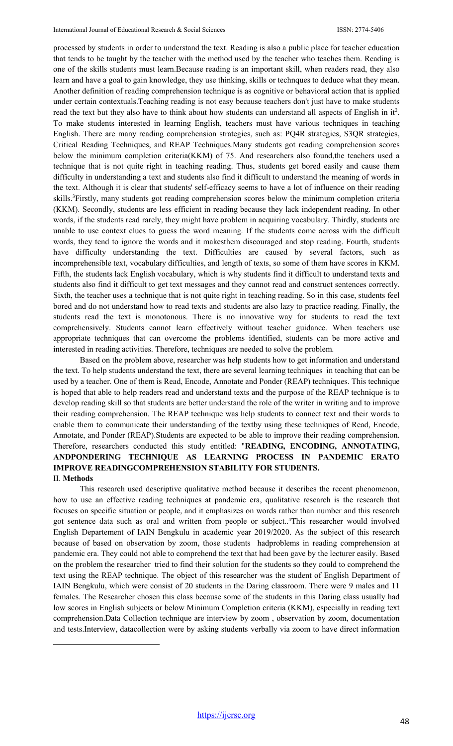processed by students in order to understand the text. Reading is also a public place for teacher education that tends to be taught by the teacher with the method used by the teacher who teaches them. Reading is one of the skills students must learn.Because reading is an important skill, when readers read, they also learn and have a goal to gain knowledge, they use thinking, skills or technques to deduce what they mean. Another definition of reading comprehension technique is as cognitive or behavioral action that is applied under certain contextuals.Teaching reading is not easy because teachers don't just have to make students read the text but they also have to think about how students can understand all aspects of English in it<sup>2</sup>. To make students interested in learning English, teachers must have various techniques in teaching English. There are many reading comprehension strategies, such as: PQ4R strategies, S3QR strategies, Critical Reading Techniques, and REAP Techniques.Many students got reading comprehension scores below the minimum completion criteria(KKM) of 75. And researchers also found,the teachers used a technique that is not quite right in teaching reading. Thus, students get bored easily and cause them difficulty in understanding a text and students also find it difficult to understand the meaning of words in the text. Although it is clear that students' self-efficacy seems to have a lot of influence on their reading skills.<sup>3</sup>Firstly, many students got reading comprehension scores below the minimum completion criteria (KKM). Secondly, students are less efficient in reading because they lack independent reading. In other words, if the students read rarely, they might have problem in acquiring vocabulary. Thirdly, students are unable to use context clues to guess the word meaning. If the students come across with the difficult words, they tend to ignore the words and it makesthem discouraged and stop reading. Fourth, students have difficulty understanding the text. Difficulties are caused by several factors, such as incomprehensible text, vocabulary difficulties, and length of texts, so some of them have scores in KKM. Fifth, the students lack English vocabulary, which is why students find it difficult to understand texts and students also find it difficult to get text messages and they cannot read and construct sentences correctly. Sixth, the teacher uses a technique that is not quite right in teaching reading. So in this case, students feel bored and do not understand how to read texts and students are also lazy to practice reading. Finally, the students read the text is monotonous. There is no innovative way for students to read the text comprehensively. Students cannot learn effectively without teacher guidance. When teachers use appropriate techniques that can overcome the problems identified, students can be more active and interested in reading activities. Therefore, techniques are needed to solve the problem.

Based on the problem above, researcher was help students how to get information and understand the text. To help students understand the text, there are several learning techniques in teaching that can be used by a teacher. One of them is Read, Encode, Annotate and Ponder (REAP) techniques. This technique is hoped that able to help readers read and understand texts and the purpose of the REAP technique is to develop reading skill so that students are better understand the role of the writer in writing and to improve their reading comprehension. The REAP technique was help students to connect text and their words to enable them to communicate their understanding of the textby using these techniques of Read, Encode, Annotate, and Ponder (REAP).Students are expected to be able to improve their reading comprehension. Therefore, researchers conducted this study entitled: "**READING, ENCODING, ANNOTATING, ANDPONDERING TECHNIQUE AS LEARNING PROCESS IN PANDEMIC ERATO IMPROVE READINGCOMPREHENSION STABILITY FOR STUDENTS.**

## II. **Methods**

This research used descriptive qualitative method because it describes the recent phenomenon, how to use an effective reading techniques at pandemic era, qualitative research is the research that focuses on specific situation or people, and it emphasizes on words rather than number and this research got sentence data such as oral and written from people or subject..4 This researcher would involved English Departement of IAIN Bengkulu in academic year 2019/2020. As the subject of this research because of based on observation by zoom, those students hadproblems in reading comprehension at pandemic era. They could not able to comprehend the text that had been gave by the lecturer easily. Based on the problem the researcher tried to find their solution for the students so they could to comprehend the text using the REAP technique. The object of this researcher was the student of English Department of IAIN Bengkulu, which were consist of 20 students in the Daring classroom. There were 9 males and 11 females. The Researcher chosen this class because some of the students in this Daring class usually had low scores in English subjects or below Minimum Completion criteria (KKM), especially in reading text comprehension.Data Collection technique are interview by zoom , observation by zoom, documentation and tests.Interview, datacollection were by asking students verbally via zoom to have direct information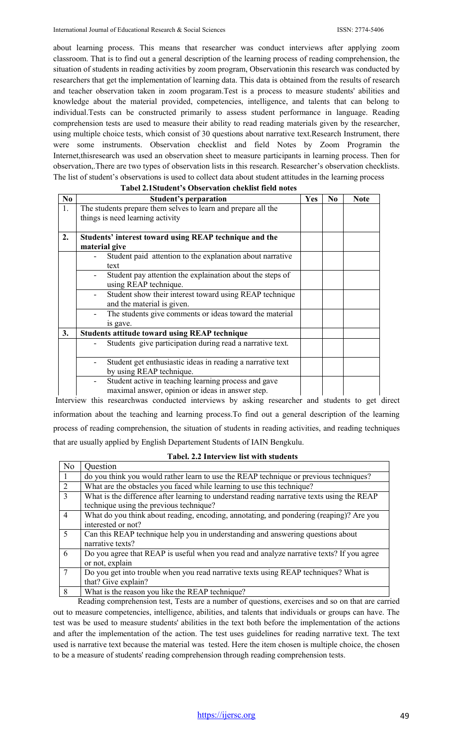about learning process. This means that researcher was conduct interviews after applying zoom classroom. That is to find out a general description of the learning process of reading comprehension, the situation of students in reading activities by zoom program, Observationin this research was conducted by researchers that get the implementation of learning data. This data is obtained from the results of research and teacher observation taken in zoom progaram.Test is a process to measure students' abilities and knowledge about the material provided, competencies, intelligence, and talents that can belong to individual.Tests can be constructed primarily to assess student performance in language. Reading comprehension tests are used to measure their ability to read reading materials given by the researcher, using multiple choice tests, which consist of 30 questions about narrative text.Research Instrument, there were some instruments. Observation checklist and field Notes by Zoom Programin the Internet,thisresearch was used an observation sheet to measure participants in learning process. Then for observation,.There are two types of observation lists in this research. Researcher's observation checklists. The list of student's observations is used to collect data about student attitudes in the learning process

|           | abcı 2.15tuncin 3 Obsci yatıblı cilcinist ficin hotes         |            |                |             |  |  |  |  |
|-----------|---------------------------------------------------------------|------------|----------------|-------------|--|--|--|--|
| $\bf{N0}$ | <b>Student's perparation</b>                                  | <b>Yes</b> | N <sub>0</sub> | <b>Note</b> |  |  |  |  |
| 1.        | The students prepare them selves to learn and prepare all the |            |                |             |  |  |  |  |
|           | things is need learning activity                              |            |                |             |  |  |  |  |
|           |                                                               |            |                |             |  |  |  |  |
| 2.        | Students' interest toward using REAP technique and the        |            |                |             |  |  |  |  |
|           | material give                                                 |            |                |             |  |  |  |  |
|           | Student paid attention to the explanation about narrative     |            |                |             |  |  |  |  |
|           | text                                                          |            |                |             |  |  |  |  |
|           | Student pay attention the explaination about the steps of     |            |                |             |  |  |  |  |
|           | using REAP technique.                                         |            |                |             |  |  |  |  |
|           | Student show their interest toward using REAP technique       |            |                |             |  |  |  |  |
|           | and the material is given.                                    |            |                |             |  |  |  |  |
|           | The students give comments or ideas toward the material       |            |                |             |  |  |  |  |
|           | is gave.                                                      |            |                |             |  |  |  |  |
| 3.        | <b>Students attitude toward using REAP technique</b>          |            |                |             |  |  |  |  |
|           | Students give participation during read a narrative text.     |            |                |             |  |  |  |  |
|           |                                                               |            |                |             |  |  |  |  |
|           | Student get enthusiastic ideas in reading a narrative text    |            |                |             |  |  |  |  |
|           | by using REAP technique.                                      |            |                |             |  |  |  |  |
|           | Student active in teaching learning process and gave          |            |                |             |  |  |  |  |
|           | maximal answer, opinion or ideas in answer step.              |            |                |             |  |  |  |  |

## **Tabel 2.1Student's Observation cheklist field notes**

Interview this researchwas conducted interviews by asking researcher and students to get direct information about the teaching and learning process.To find out a general description of the learning process of reading comprehension, the situation of students in reading activities, and reading techniques that are usually applied by English Departement Students of IAIN Bengkulu.

| N <sub>o</sub> | Question                                                                                   |
|----------------|--------------------------------------------------------------------------------------------|
| $\mathbf{1}$   | do you think you would rather learn to use the REAP technique or previous techniques?      |
| $\overline{2}$ | What are the obstacles you faced while learning to use this technique?                     |
| $\overline{3}$ | What is the difference after learning to understand reading narrative texts using the REAP |
|                | technique using the previous technique?                                                    |
| $\overline{4}$ | What do you think about reading, encoding, annotating, and pondering (reaping)? Are you    |
|                | interested or not?                                                                         |
| $\overline{5}$ | Can this REAP technique help you in understanding and answering questions about            |
|                | narrative texts?                                                                           |
| 6              | Do you agree that REAP is useful when you read and analyze narrative texts? If you agree   |
|                | or not, explain                                                                            |
| $\overline{7}$ | Do you get into trouble when you read narrative texts using REAP techniques? What is       |
|                | that? Give explain?                                                                        |
| 8              | What is the reason you like the REAP technique?                                            |

### **Tabel. 2.2 Interview list with students**

8 What is the reason you like the REAP technique?

Reading comprehension test, Tests are a number of questions, exercises and so on that are carried out to measure competencies, intelligence, abilities, and talents that individuals or groups can have. The test was be used to measure students' abilities in the text both before the implementation of the actions and after the implementation of the action. The test uses guidelines for reading narrative text. The text used is narrative text because the material was tested. Here the item chosen is multiple choice, the chosen to be a measure of students' reading comprehension through reading comprehension tests.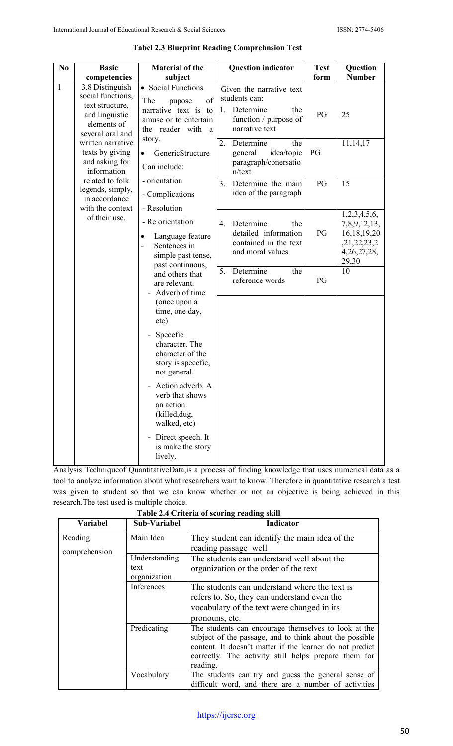| N <sub>0</sub>                                                                                                                                                                                                                                                                                     | <b>Basic</b>                                                                                                                     | <b>Material of the</b>                                                                                         | <b>Question indicator</b> | <b>Test</b>                                                                              | Question      |
|----------------------------------------------------------------------------------------------------------------------------------------------------------------------------------------------------------------------------------------------------------------------------------------------------|----------------------------------------------------------------------------------------------------------------------------------|----------------------------------------------------------------------------------------------------------------|---------------------------|------------------------------------------------------------------------------------------|---------------|
|                                                                                                                                                                                                                                                                                                    | competencies                                                                                                                     | subject                                                                                                        |                           | form                                                                                     | <b>Number</b> |
| $\mathbf{1}$<br>3.8 Distinguish<br>social functions,<br>text structure,<br>and linguistic<br>elements of<br>several oral and<br>written narrative<br>texts by giving<br>and asking for<br>information<br>related to folk<br>legends, simply,<br>in accordance<br>with the context<br>of their use. | • Social Functions<br>The<br>of<br>pupose<br>narrative text is<br>to<br>amuse or to entertain<br>the reader with<br><sub>a</sub> | Given the narrative text<br>students can:<br>Determine<br>1.<br>the<br>function / purpose of<br>narrative text | PG                        | 25                                                                                       |               |
|                                                                                                                                                                                                                                                                                                    | story.<br>GenericStructure<br>$\bullet$<br>Can include:                                                                          | Determine<br>2.<br>the<br>idea/topic<br>general<br>paragraph/conersatio<br>n/text                              | PG                        | 11,14,17                                                                                 |               |
|                                                                                                                                                                                                                                                                                                    | - orientation<br>- Complications<br>- Resolution                                                                                 | Determine the main<br>3.<br>idea of the paragraph                                                              | PG                        | 15                                                                                       |               |
|                                                                                                                                                                                                                                                                                                    | - Re orientation<br>Language feature<br>Sentences in<br>simple past tense,<br>past continuous,                                   | Determine<br>4.<br>the<br>detailed information<br>contained in the text<br>and moral values                    | PG                        | 1,2,3,4,5,6,<br>7,8,9,12,13,<br>16, 18, 19, 20<br>,21,22,23,2<br>4, 26, 27, 28,<br>29,30 |               |
|                                                                                                                                                                                                                                                                                                    | and others that<br>are relevant.<br>Adverb of time<br>(once upon a<br>time, one day,<br>etc)                                     | 5.<br>Determine<br>the<br>reference words                                                                      | PG                        | 10                                                                                       |               |
|                                                                                                                                                                                                                                                                                                    |                                                                                                                                  | Specefic<br>character. The<br>character of the<br>story is specefic,<br>not general.                           |                           |                                                                                          |               |
|                                                                                                                                                                                                                                                                                                    |                                                                                                                                  | Action adverb. A<br>verb that shows<br>an action.<br>(killed, dug,<br>walked, etc)                             |                           |                                                                                          |               |
|                                                                                                                                                                                                                                                                                                    |                                                                                                                                  | Direct speech. It<br>is make the story<br>lively.                                                              |                           |                                                                                          |               |

## **Tabel 2.3 Blueprint Reading Comprehnsion Test**

Analysis Techniqueof QuantitativeData,is a process of finding knowledge that uses numerical data as a tool to analyze information about what researchers want to know. Therefore in quantitative research a test was given to student so that we can know whether or not an objective is being achieved in this research.The test used is multiple choice.

|  |        |  |  | Table 2.4 Criteria of scoring reading skill |  |  |
|--|--------|--|--|---------------------------------------------|--|--|
|  | ------ |  |  |                                             |  |  |

| <b>Variabel</b> | Sub-Variabel  | Indicator                                                |
|-----------------|---------------|----------------------------------------------------------|
| Reading         | Main Idea     | They student can identify the main idea of the           |
| comprehension   |               | reading passage well                                     |
|                 | Understanding | The students can understand well about the               |
|                 | text          | organization or the order of the text                    |
|                 | organization  |                                                          |
|                 | Inferences    | The students can understand where the text is            |
|                 |               | refers to. So, they can understand even the              |
|                 |               | vocabulary of the text were changed in its               |
|                 |               | pronouns, etc.                                           |
|                 | Predicating   | The students can encourage themselves to look at the     |
|                 |               | subject of the passage, and to think about the possible  |
|                 |               | content. It doesn't matter if the learner do not predict |
|                 |               | correctly. The activity still helps prepare them for     |
|                 |               | reading.                                                 |
|                 | Vocabulary    | The students can try and guess the general sense of      |
|                 |               | difficult word, and there are a number of activities     |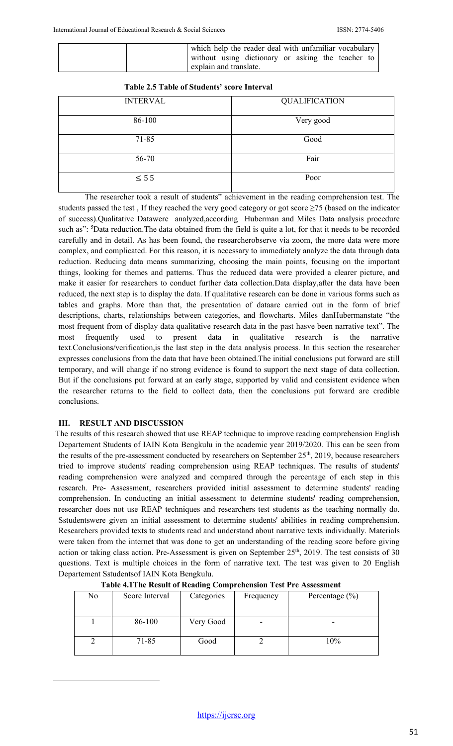|                        | which help the reader deal with unfamiliar vocabulary |  |  |  |
|------------------------|-------------------------------------------------------|--|--|--|
|                        | without using dictionary or asking the teacher to     |  |  |  |
| explain and translate. |                                                       |  |  |  |

|  |  | <b>Table 2.5 Table of Students' score Interval</b> |  |  |
|--|--|----------------------------------------------------|--|--|
|--|--|----------------------------------------------------|--|--|

| <b>INTERVAL</b> | <b>QUALIFICATION</b> |
|-----------------|----------------------|
| 86-100          | Very good            |
| $71 - 85$       | Good                 |
| 56-70           | Fair                 |
| $\leq$ 5 5      | Poor                 |

The researcher took a result of students" achievement in the reading comprehension test. The students passed the test , If they reached the very good category or got score ≥75 (based on the indicator of success).Qualitative Datawere analyzed,according Huberman and Miles Data analysis procedure such as": <sup>5</sup>Data reduction. The data obtained from the field is quite a lot, for that it needs to be recorded carefully and in detail. As has been found, the researcherobserve via zoom, the more data were more complex, and complicated. For this reason, it is necessary to immediately analyze the data through data reduction. Reducing data means summarizing, choosing the main points, focusing on the important things, looking for themes and patterns. Thus the reduced data were provided a clearer picture, and make it easier for researchers to conduct further data collection.Data display,after the data have been reduced, the next step is to display the data. If qualitative research can be done in various forms such as tables and graphs. More than that, the presentation of dataare carried out in the form of brief descriptions, charts, relationships between categories, and flowcharts. Miles danHubermanstate "the most frequent from of display data qualitative research data in the past hasve been narrative text". The most frequently used to present data in qualitative research is the narrative text.Conclusions/verification,is the last step in the data analysis process. In this section the researcher expresses conclusions from the data that have been obtained.The initial conclusions put forward are still temporary, and will change if no strong evidence is found to support the next stage of data collection. But if the conclusions put forward at an early stage, supported by valid and consistent evidence when the researcher returns to the field to collect data, then the conclusions put forward are credible conclusions.

## **III. RESULT AND DISCUSSION**

The results of this research showed that use REAP technique to improve reading comprehension English Departement Students of IAIN Kota Bengkulu in the academic year 2019/2020. This can be seen from the results of the pre-assessment conducted by researchers on September 25<sup>th</sup>, 2019, because researchers tried to improve students' reading comprehension using REAP techniques. The results of students' reading comprehension were analyzed and compared through the percentage of each step in this research. Pre- Assessment, researchers provided initial assessment to determine students' reading comprehension. In conducting an initial assessment to determine students' reading comprehension, researcher does not use REAP techniques and researchers test students as the teaching normally do. Sstudentswere given an initial assessment to determine students' abilities in reading comprehension. Researchers provided texts to students read and understand about narrative texts individually. Materials were taken from the internet that was done to get an understanding of the reading score before giving action or taking class action. Pre-Assessment is given on September 25<sup>th</sup>, 2019. The test consists of 30 questions. Text is multiple choices in the form of narrative text. The test was given to 20 English Departement Sstudentsof IAIN Kota Bengkulu.

|    | Tuble is the result of reading comprehension test for this essineme |            |           |                    |  |  |  |  |  |
|----|---------------------------------------------------------------------|------------|-----------|--------------------|--|--|--|--|--|
| No | Score Interval                                                      | Categories | Frequency | Percentage $(\% )$ |  |  |  |  |  |
|    | 86-100                                                              | Very Good  |           |                    |  |  |  |  |  |
|    | 71-85                                                               | Good       |           | 10%                |  |  |  |  |  |

**Table 4.1The Result of Reading Comprehension Test Pre Assessment**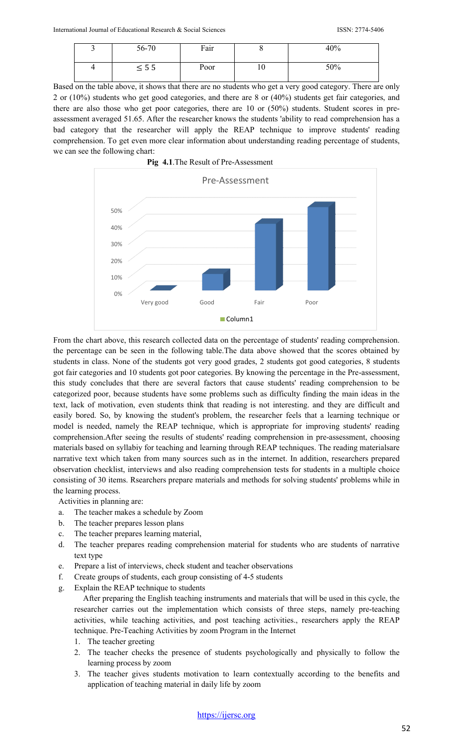| 56-70      | Fair | v  | 40% |
|------------|------|----|-----|
| $\leq 5.5$ | Poor | 10 | 50% |

Based on the table above, it shows that there are no students who get a very good category. There are only 2 or (10%) students who get good categories, and there are 8 or (40%) students get fair categories, and there are also those who get poor categories, there are 10 or (50%) students. Student scores in preassessment averaged 51.65. After the researcher knows the students 'ability to read comprehension has a bad category that the researcher will apply the REAP technique to improve students' reading comprehension. To get even more clear information about understanding reading percentage of students, we can see the following chart:





From the chart above, this research collected data on the percentage of students' reading comprehension. the percentage can be seen in the following table.The data above showed that the scores obtained by students in class. None of the students got very good grades, 2 students got good categories, 8 students got fair categories and 10 students got poor categories. By knowing the percentage in the Pre-assessment, this study concludes that there are several factors that cause students' reading comprehension to be categorized poor, because students have some problems such as difficulty finding the main ideas in the text, lack of motivation, even students think that reading is not interesting. and they are difficult and easily bored. So, by knowing the student's problem, the researcher feels that a learning technique or model is needed, namely the REAP technique, which is appropriate for improving students' reading comprehension.After seeing the results of students' reading comprehension in pre-assessment, choosing materials based on syllabiy for teaching and learning through REAP techniques. The reading materialsare narrative text which taken from many sources such as in the internet. In addition, researchers prepared observation checklist, interviews and also reading comprehension tests for students in a multiple choice consisting of 30 items. Rsearchers prepare materials and methods for solving students' problems while in the learning process.

Activities in planning are:

- a. The teacher makes a schedule by Zoom
- b. The teacher prepares lesson plans
- c. The teacher prepares learning material,
- d. The teacher prepares reading comprehension material for students who are students of narrative text type
- e. Prepare a list of interviews, check student and teacher observations
- f. Create groups of students, each group consisting of 4-5 students
- g. Explain the REAP technique to students

After preparing the English teaching instruments and materials that will be used in this cycle, the researcher carries out the implementation which consists of three steps, namely pre-teaching activities, while teaching activities, and post teaching activities., researchers apply the REAP technique. Pre-Teaching Activities by zoom Program in the Internet

- 1. The teacher greeting
- 2. The teacher checks the presence of students psychologically and physically to follow the learning process by zoom
- 3. The teacher gives students motivation to learn contextually according to the benefits and application of teaching material in daily life by zoom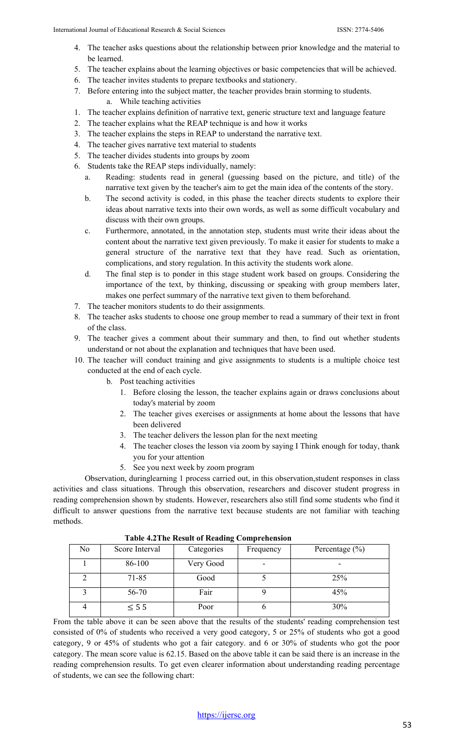- 4. The teacher asks questions about the relationship between prior knowledge and the material to be learned.
- 5. The teacher explains about the learning objectives or basic competencies that will be achieved.
- 6. The teacher invites students to prepare textbooks and stationery.
- 7. Before entering into the subject matter, the teacher provides brain storming to students. a. While teaching activities
- 1. The teacher explains definition of narrative text, generic structure text and language feature
- 2. The teacher explains what the REAP technique is and how it works
- 3. The teacher explains the steps in REAP to understand the narrative text.
- 4. The teacher gives narrative text material to students
- 5. The teacher divides students into groups by zoom
- 6. Students take the REAP steps individually, namely:
	- a. Reading: students read in general (guessing based on the picture, and title) of the narrative text given by the teacher's aim to get the main idea of the contents of the story.
	- b. The second activity is coded, in this phase the teacher directs students to explore their ideas about narrative texts into their own words, as well as some difficult vocabulary and discuss with their own groups.
	- c. Furthermore, annotated, in the annotation step, students must write their ideas about the content about the narrative text given previously. To make it easier for students to make a general structure of the narrative text that they have read. Such as orientation, complications, and story regulation. In this activity the students work alone.
	- d. The final step is to ponder in this stage student work based on groups. Considering the importance of the text, by thinking, discussing or speaking with group members later, makes one perfect summary of the narrative text given to them beforehand.
- 7. The teacher monitors students to do their assignments.
- 8. The teacher asks students to choose one group member to read a summary of their text in front of the class.
- 9. The teacher gives a comment about their summary and then, to find out whether students understand or not about the explanation and techniques that have been used.
- 10. The teacher will conduct training and give assignments to students is a multiple choice test conducted at the end of each cycle.
	- b. Post teaching activities
		- 1. Before closing the lesson, the teacher explains again or draws conclusions about today's material by zoom
		- 2. The teacher gives exercises or assignments at home about the lessons that have been delivered
		- 3. The teacher delivers the lesson plan for the next meeting
		- 4. The teacher closes the lesson via zoom by saying I Think enough for today, thank you for your attention
		- 5. See you next week by zoom program

Observation, duringlearning 1 process carried out, in this observation,student responses in class activities and class situations. Through this observation, researchers and discover student progress in reading comprehension shown by students. However, researchers also still find some students who find it difficult to answer questions from the narrative text because students are not familiar with teaching methods.

| No | Score Interval | Categories | Frequency | Percentage $(\% )$ |  |  |  |  |
|----|----------------|------------|-----------|--------------------|--|--|--|--|
|    | 86-100         | Very Good  |           |                    |  |  |  |  |
|    | 71-85          | Good       |           | 25%                |  |  |  |  |
|    | 56-70          | Fair       |           | 45%                |  |  |  |  |
|    | $\leq$ 5 5     | Poor       |           | 30%                |  |  |  |  |

**Table 4.2The Result of Reading Comprehension** 

From the table above it can be seen above that the results of the students' reading comprehension test consisted of 0% of students who received a very good category, 5 or 25% of students who got a good category, 9 or 45% of students who got a fair category. and 6 or 30% of students who got the poor category. The mean score value is 62.15. Based on the above table it can be said there is an increase in the reading comprehension results. To get even clearer information about understanding reading percentage of students, we can see the following chart: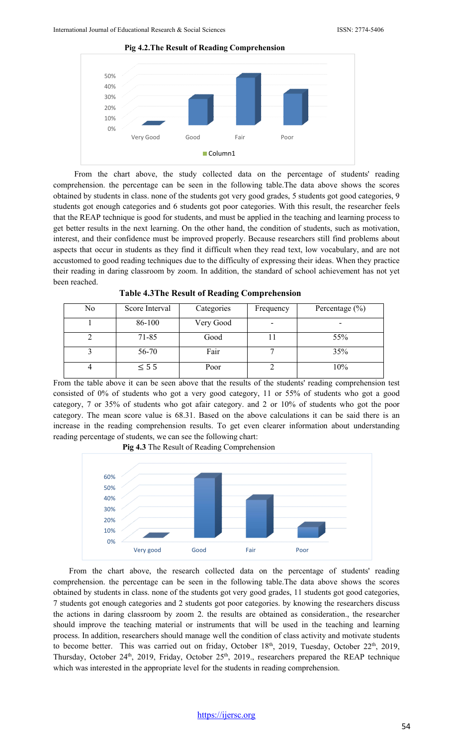

From the chart above, the study collected data on the percentage of students' reading comprehension. the percentage can be seen in the following table.The data above shows the scores obtained by students in class. none of the students got very good grades, 5 students got good categories, 9 students got enough categories and 6 students got poor categories. With this result, the researcher feels that the REAP technique is good for students, and must be applied in the teaching and learning process to get better results in the next learning. On the other hand, the condition of students, such as motivation, interest, and their confidence must be improved properly. Because researchers still find problems about aspects that occur in students as they find it difficult when they read text, low vocabulary, and are not accustomed to good reading techniques due to the difficulty of expressing their ideas. When they practice their reading in daring classroom by zoom. In addition, the standard of school achievement has not yet been reached.

| No | Score Interval | Categories | Frequency                | Percentage $(\% )$ |
|----|----------------|------------|--------------------------|--------------------|
|    | 86-100         | Very Good  | $\overline{\phantom{a}}$ |                    |
|    | 71-85          | Good       |                          | 55%                |
|    | 56-70          | Fair       |                          | 35%                |
|    | $\leq$ 5 5     | Poor       |                          | 10%                |

**Table 4.3The Result of Reading Comprehension** 

From the table above it can be seen above that the results of the students' reading comprehension test consisted of 0% of students who got a very good category, 11 or 55% of students who got a good category, 7 or 35% of students who got afair category. and 2 or 10% of students who got the poor category. The mean score value is 68.31. Based on the above calculations it can be said there is an increase in the reading comprehension results. To get even clearer information about understanding reading percentage of students, we can see the following chart:



From the chart above, the research collected data on the percentage of students' reading comprehension. the percentage can be seen in the following table.The data above shows the scores obtained by students in class. none of the students got very good grades, 11 students got good categories, 7 students got enough categories and 2 students got poor categories. by knowing the researchers discuss the actions in daring classroom by zoom 2. the results are obtained as consideration., the researcher should improve the teaching material or instruments that will be used in the teaching and learning process. In addition, researchers should manage well the condition of class activity and motivate students to become better. This was carried out on friday, October 18<sup>th</sup>, 2019, Tuesday, October 22<sup>th</sup>, 2019, Thursday, October 24<sup>th</sup>, 2019, Friday, October 25<sup>th</sup>, 2019., researchers prepared the REAP technique which was interested in the appropriate level for the students in reading comprehension.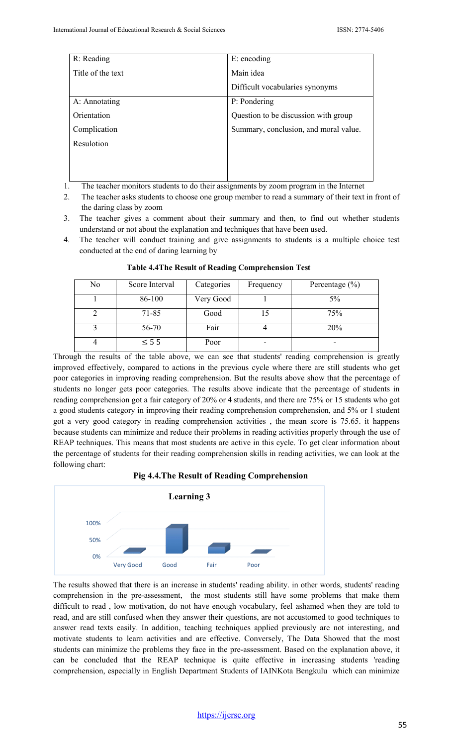| R: Reading        | E: encoding                           |  |  |
|-------------------|---------------------------------------|--|--|
| Title of the text | Main idea                             |  |  |
|                   | Difficult vocabularies synonyms       |  |  |
| A: Annotating     | P: Pondering                          |  |  |
| Orientation       | Question to be discussion with group  |  |  |
| Complication      | Summary, conclusion, and moral value. |  |  |
| Resulotion        |                                       |  |  |
|                   |                                       |  |  |
|                   |                                       |  |  |

- 1. The teacher monitors students to do their assignments by zoom program in the Internet
- 2. The teacher asks students to choose one group member to read a summary of their text in front of the daring class by zoom
- 3. The teacher gives a comment about their summary and then, to find out whether students understand or not about the explanation and techniques that have been used.
- 4. The teacher will conduct training and give assignments to students is a multiple choice test conducted at the end of daring learning by

| No | Score Interval | Categories | Frequency | Percentage $(\% )$ |
|----|----------------|------------|-----------|--------------------|
|    | 86-100         | Very Good  |           | 5%                 |
|    | $71 - 85$      | Good       |           | 75%                |
|    | 56-70          | Fair       |           | 20%                |
|    | $\leq$ 5 5     | Poor       |           |                    |

**Table 4.4The Result of Reading Comprehension Test** 

Through the results of the table above, we can see that students' reading comprehension is greatly improved effectively, compared to actions in the previous cycle where there are still students who get poor categories in improving reading comprehension. But the results above show that the percentage of students no longer gets poor categories. The results above indicate that the percentage of students in reading comprehension got a fair category of 20% or 4 students, and there are 75% or 15 students who got a good students category in improving their reading comprehension comprehension, and 5% or 1 student got a very good category in reading comprehension activities , the mean score is 75.65. it happens because students can minimize and reduce their problems in reading activities properly through the use of REAP techniques. This means that most students are active in this cycle. To get clear information about the percentage of students for their reading comprehension skills in reading activities, we can look at the following chart:

**Pig 4.4.The Result of Reading Comprehension**



The results showed that there is an increase in students' reading ability. in other words, students' reading comprehension in the pre-assessment, the most students still have some problems that make them difficult to read , low motivation, do not have enough vocabulary, feel ashamed when they are told to read, and are still confused when they answer their questions, are not accustomed to good techniques to answer read texts easily. In addition, teaching techniques applied previously are not interesting, and motivate students to learn activities and are effective. Conversely, The Data Showed that the most students can minimize the problems they face in the pre-assessment. Based on the explanation above, it can be concluded that the REAP technique is quite effective in increasing students 'reading comprehension, especially in English Department Students of IAINKota Bengkulu which can minimize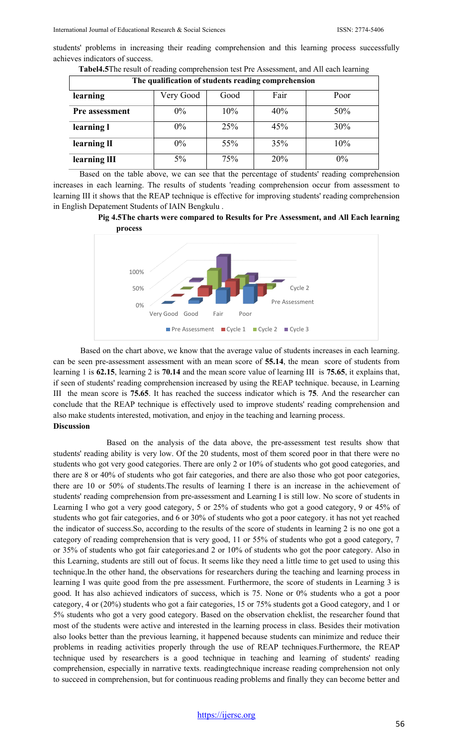students' problems in increasing their reading comprehension and this learning process successfully achieves indicators of success.

| The qualification of students reading comprehension |           |      |      |       |  |  |  |
|-----------------------------------------------------|-----------|------|------|-------|--|--|--|
| learning                                            | Very Good | Good | Fair | Poor  |  |  |  |
| <b>Pre assessment</b>                               | $0\%$     | 10%  | 40%  | 50%   |  |  |  |
| learning l                                          | $0\%$     | 25%  | 45%  | 30%   |  |  |  |
| learning II                                         | $0\%$     | 55%  | 35%  | 10%   |  |  |  |
| learning III                                        | 5%        | 75%  | 20%  | $0\%$ |  |  |  |

**Tabel4.5**The result of reading comprehension test Pre Assessment, and All each learning

Based on the table above, we can see that the percentage  $\overline{of}$  students' reading comprehension increases in each learning. The results of students 'reading comprehension occur from assessment to learning III it shows that the REAP technique is effective for improving students' reading comprehension in English Depatement Students of IAIN Bengkulu .

**Pig 4.5The charts were compared to Results for Pre Assessment, and All Each learning process**



Based on the chart above, we know that the average value of students increases in each learning. can be seen pre-assessment assessment with an mean score of **55.14**, the mean score of students from learning 1 is **62.15**, learning 2 is **70.14** and the mean score value of learning III is **75.65**, it explains that, if seen of students' reading comprehension increased by using the REAP technique. because, in Learning III the mean score is **75.65**. It has reached the success indicator which is **75**. And the researcher can conclude that the REAP technique is effectively used to improve students' reading comprehension and also make students interested, motivation, and enjoy in the teaching and learning process. **Discussion** 

Based on the analysis of the data above, the pre-assessment test results show that students' reading ability is very low. Of the 20 students, most of them scored poor in that there were no students who got very good categories. There are only 2 or 10% of students who got good categories, and there are 8 or 40% of students who got fair categories, and there are also those who got poor categories, there are 10 or 50% of students.The results of learning I there is an increase in the achievement of students' reading comprehension from pre-assessment and Learning I is still low. No score of students in Learning I who got a very good category, 5 or 25% of students who got a good category, 9 or 45% of students who got fair categories, and 6 or 30% of students who got a poor category. it has not yet reached the indicator of success.So, according to the results of the score of students in learning 2 is no one got a category of reading comprehension that is very good, 11 or 55% of students who got a good category, 7 or 35% of students who got fair categories.and 2 or 10% of students who got the poor category. Also in this Learning, students are still out of focus. It seems like they need a little time to get used to using this technique.In the other hand, the observations for researchers during the teaching and learning process in learning I was quite good from the pre assessment. Furthermore, the score of students in Learning 3 is good. It has also achieved indicators of success, which is 75. None or 0% students who a got a poor category, 4 or (20%) students who got a fair categories, 15 or 75% students got a Good category, and 1 or 5% students who got a very good category. Based on the observation cheklist, the researcher found that most of the students were active and interested in the learning process in class. Besides their motivation also looks better than the previous learning, it happened because students can minimize and reduce their problems in reading activities properly through the use of REAP techniques.Furthermore, the REAP technique used by researchers is a good technique in teaching and learning of students' reading comprehension, especially in narrative texts. readingtechnique increase reading comprehension not only to succeed in comprehension, but for continuous reading problems and finally they can become better and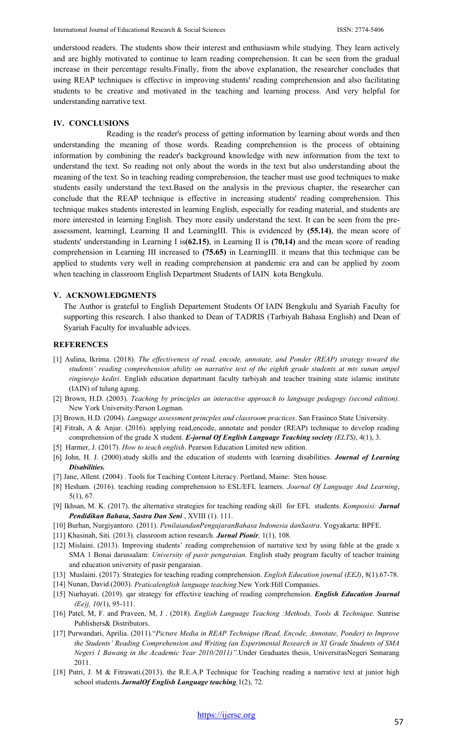understood readers. The students show their interest and enthusiasm while studying. They learn actively and are highly motivated to continue to learn reading comprehension. It can be seen from the gradual increase in their percentage results.Finally, from the above explanation, the researcher concludes that using REAP techniques is effective in improving students' reading comprehension and also facilitating students to be creative and motivated in the teaching and learning process. And very helpful for understanding narrative text.

### **IV. CONCLUSIONS**

Reading is the reader's process of getting information by learning about words and then understanding the meaning of those words. Reading comprehension is the process of obtaining information by combining the reader's background knowledge with new information from the text to understand the text. So reading not only about the words in the text but also understanding about the meaning of the text. So in teaching reading comprehension, the teacher must use good techniques to make students easily understand the text.Based on the analysis in the previous chapter, the researcher can conclude that the REAP technique is effective in increasing students' reading comprehension. This technique makes students interested in learning English, especially for reading material, and students are more interested in learning English. They more easily understand the text. It can be seen from the preassessment, learningI, Learning II and LearningIII. This is evidenced by **(55.14)**, the mean score of students' understanding in Learning I is**(62.15)**, in Learning II is **(70,14)** and the mean score of reading comprehension in Learning III increased to **(75.65)** in LearningIII. it means that this technique can be applied to students very well in reading comprehension at pandemic era and can be applied by zoom when teaching in classroom English Department Students of IAIN kota Bengkulu.

#### **V. ACKNOWLEDGMENTS**

The Author is grateful to English Departement Students Of IAIN Bengkulu and Syariah Faculty for supporting this research. I also thanked to Dean of TADRIS (Tarbiyah Bahasa English) and Dean of Syariah Faculty for invaluable advices.

#### **REFERENCES**

- [1] Aulina, Ikrima. (2018). *The effectiveness of read, encode, annotate, and Ponder (REAP) strategy toward the students' reading comprehension ability on narrative text of the eighth grade students at mts sunan ampel ringinrejo kediri*. English education departmant faculty tarbiyah and teacher training state islamic institute (IAIN) of tulung agung.
- [2] Brown, H.D. (2003). *Teaching by principles an interactive approach to language pedagogy (second edition)*. New York University:Person Logman.
- [3] Brown, H.D. (2004). *Language assessment princples and classroom practices*. San Frasinco State University.
- [4] Fitrah, A & Anjar. (2016). applying read,encode, annotate and ponder (REAP) technique to develop reading comprehension of the grade X student. *E-jornal Of English Language Teaching society (ELTS)*, 4(1), 3.
- [5] Harmer, J. (2017). *How to teach english*. Pearson Education Limited new edition.
- [6] John, H. J. (2000).study skills and the education of students with learning disabilities. *Journal of Learning Disabilities.*
- [7] Jane, Allent. (2004) . Tools for Teaching Content Literacy. Portland, Maine: Sten house.
- [8] Hesham. (2016). teaching reading comprehension to ESL/EFL learners. *Journal Of Language And Learning*, 5(1), 67.
- [9] Ikhsan, M. K. (2017). the alternative strategies for teaching reading skill for EFL students. *Komposisi: Jurnal Pendidikan Bahasa, Sastra Dan Seni* , XVIII (1). 111.
- [10] Burhan, Nurgiyantoro. (2011). *PenilaiandanPengajaranBahasa Indonesia danSastra*. Yogyakarta: BPFE.
- [11] Khasinah, Siti. (2013). classroom action research. *Jurnal Pionir,* 1(1), 108.
- [12] Mislaini. (2013). Improving students' reading comprehension of narrative text by using fable at the grade x SMA 1 Bonai darussalam: *University of pasir pengaraian*. English study program faculty of teacher training and education university of pasir pengaraian.
- [13] Muslaini. (2017). Strategies for teaching reading comprehension. *English Education journal (EEJ)*, 8(1).67-78.
- [14] Nunan, David.(2003). *Praticalenglish language teaching*.New York:Hill Companies.
- [15] Nurhayati. (2019). qar strategy for effective teaching of reading comprehension. *English Education Journal (Ee)j, 10(*1), 95-111.
- [16] Patel, M, F. and Praveen, M, J . (2018). *English Language Teaching :Methods, Tools & Technique.* Sunrise Publishers& Distributors.
- [17] Purwandari, Aprilia. (2011)."*Picture Media in REAP Technique (Read, Encode, Annotate, Ponder) to Improve the Students' Reading Comprehension and Writing (an Experimental Research in XI Grade Students of SMA Negeri 1 Bawang in the Academic Year 2010/2011)".*Under Graduates thesis, UniversitasNegeri Semarang 2011.
- [18] Putri, J. M & Fitrawati.(2013). the R.E.A.P Technique for Teaching reading a narrative text at junior high school students*.JurnalOf English Language teaching,*1(2), 72.